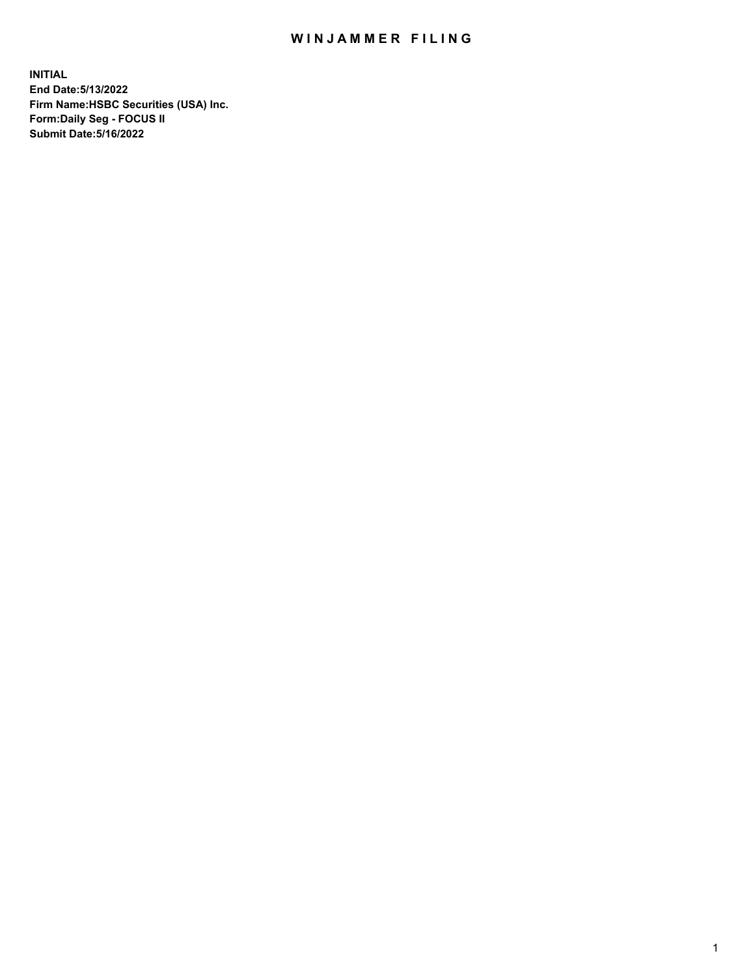## WIN JAMMER FILING

**INITIAL End Date:5/13/2022 Firm Name:HSBC Securities (USA) Inc. Form:Daily Seg - FOCUS II Submit Date:5/16/2022**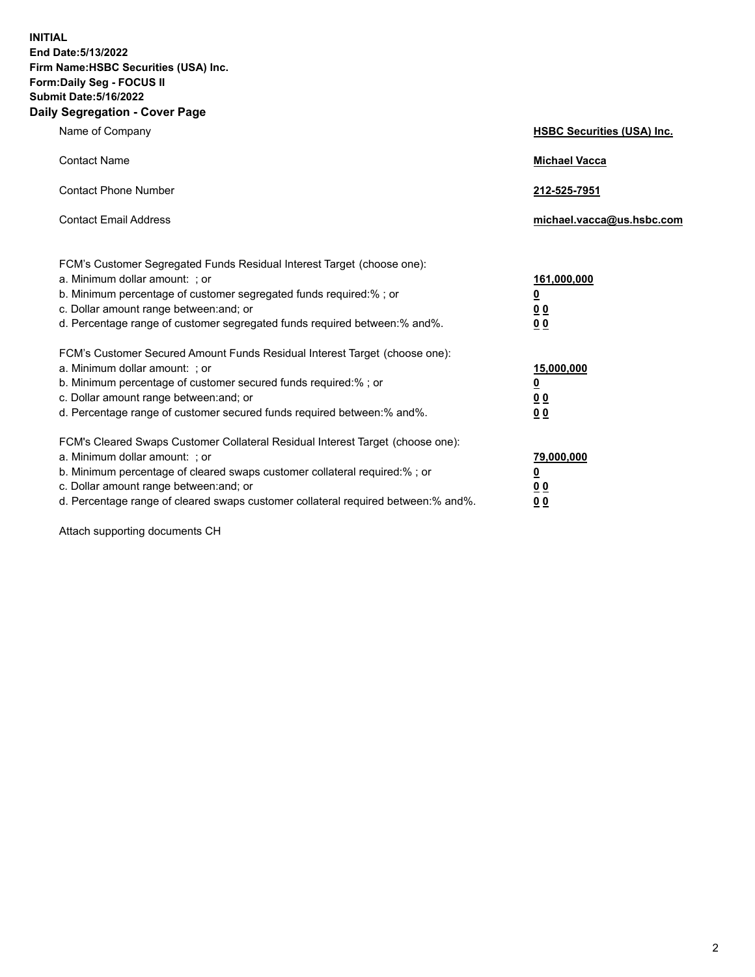**INITIAL End Date:5/13/2022 Firm Name:HSBC Securities (USA) Inc. Form:Daily Seg - FOCUS II Submit Date:5/16/2022 Daily Segregation - Cover Page**

| Name of Company                                                                                                                                                                                                                                                                                                               | <b>HSBC Securities (USA) Inc.</b>                                           |
|-------------------------------------------------------------------------------------------------------------------------------------------------------------------------------------------------------------------------------------------------------------------------------------------------------------------------------|-----------------------------------------------------------------------------|
| <b>Contact Name</b>                                                                                                                                                                                                                                                                                                           | <b>Michael Vacca</b>                                                        |
| <b>Contact Phone Number</b>                                                                                                                                                                                                                                                                                                   | 212-525-7951                                                                |
| <b>Contact Email Address</b>                                                                                                                                                                                                                                                                                                  | michael.vacca@us.hsbc.com                                                   |
| FCM's Customer Segregated Funds Residual Interest Target (choose one):<br>a. Minimum dollar amount: ; or<br>b. Minimum percentage of customer segregated funds required:% ; or<br>c. Dollar amount range between: and; or<br>d. Percentage range of customer segregated funds required between:% and%.                        | 161,000,000<br>$\underline{\mathbf{0}}$<br>0 <sub>0</sub><br>0 <sub>0</sub> |
| FCM's Customer Secured Amount Funds Residual Interest Target (choose one):<br>a. Minimum dollar amount: ; or<br>b. Minimum percentage of customer secured funds required:%; or<br>c. Dollar amount range between: and; or<br>d. Percentage range of customer secured funds required between: % and %.                         | 15,000,000<br><u>0</u><br>0 <sub>0</sub><br>0 <sub>0</sub>                  |
| FCM's Cleared Swaps Customer Collateral Residual Interest Target (choose one):<br>a. Minimum dollar amount: : or<br>b. Minimum percentage of cleared swaps customer collateral required:%; or<br>c. Dollar amount range between: and; or<br>d. Percentage range of cleared swaps customer collateral required between:% and%. | 79,000,000<br><u>0</u><br>00<br>00                                          |

Attach supporting documents CH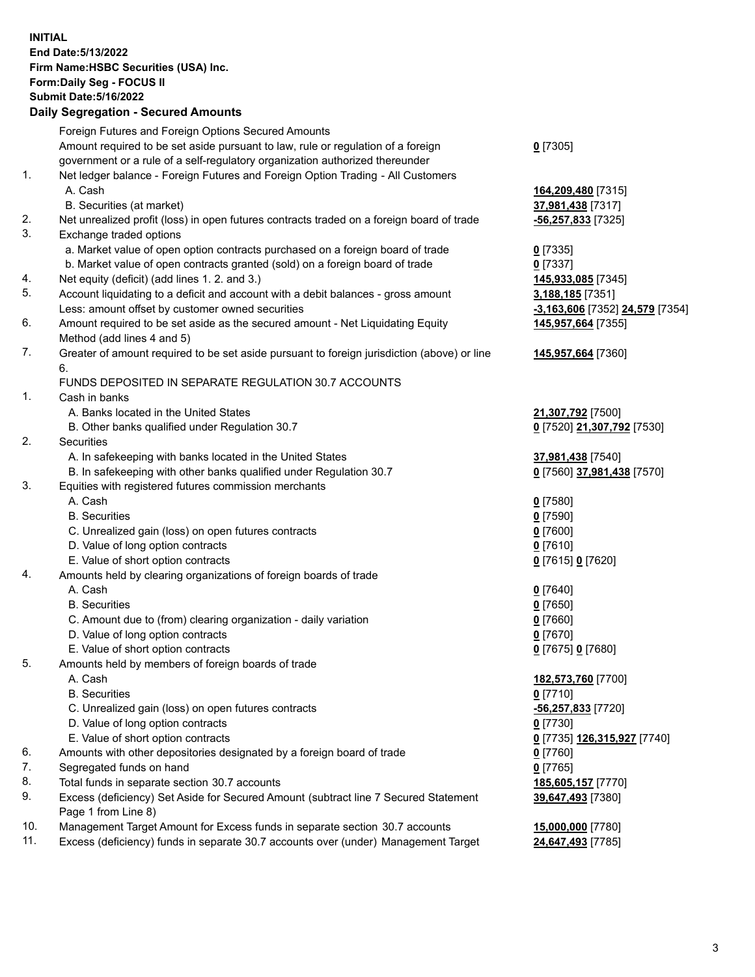**INITIAL End Date:5/13/2022 Firm Name:HSBC Securities (USA) Inc. Form:Daily Seg - FOCUS II Submit Date:5/16/2022 Daily Segregation - Secured Amounts** Foreign Futures and Foreign Options Secured Amounts

|     | Amount required to be set aside pursuant to law, rule or regulation of a foreign                             | $0$ [7305]                      |
|-----|--------------------------------------------------------------------------------------------------------------|---------------------------------|
|     | government or a rule of a self-regulatory organization authorized thereunder                                 |                                 |
| 1.  | Net ledger balance - Foreign Futures and Foreign Option Trading - All Customers                              |                                 |
|     | A. Cash                                                                                                      | 164,209,480 [7315]              |
|     | B. Securities (at market)                                                                                    | 37,981,438 [7317]               |
| 2.  | Net unrealized profit (loss) in open futures contracts traded on a foreign board of trade                    | $-56,257,833$ [7325]            |
| 3.  | Exchange traded options                                                                                      |                                 |
|     | a. Market value of open option contracts purchased on a foreign board of trade                               | $0$ [7335]                      |
|     | b. Market value of open contracts granted (sold) on a foreign board of trade                                 | $0$ [7337]                      |
| 4.  | Net equity (deficit) (add lines 1. 2. and 3.)                                                                | 145,933,085 [7345]              |
| 5.  | Account liquidating to a deficit and account with a debit balances - gross amount                            | 3,188,185 [7351]                |
|     | Less: amount offset by customer owned securities                                                             | -3,163,606 [7352] 24,579 [7354] |
| 6.  | Amount required to be set aside as the secured amount - Net Liquidating Equity<br>Method (add lines 4 and 5) | 145,957,664 [7355]              |
| 7.  | Greater of amount required to be set aside pursuant to foreign jurisdiction (above) or line                  | 145,957,664 [7360]              |
|     | 6.                                                                                                           |                                 |
|     | FUNDS DEPOSITED IN SEPARATE REGULATION 30.7 ACCOUNTS                                                         |                                 |
| 1.  | Cash in banks                                                                                                |                                 |
|     | A. Banks located in the United States                                                                        | 21,307,792 [7500]               |
|     | B. Other banks qualified under Regulation 30.7                                                               | 0 [7520] 21,307,792 [7530]      |
| 2.  | Securities                                                                                                   |                                 |
|     | A. In safekeeping with banks located in the United States                                                    | 37,981,438 [7540]               |
|     | B. In safekeeping with other banks qualified under Regulation 30.7                                           | 0 [7560] 37,981,438 [7570]      |
| 3.  | Equities with registered futures commission merchants                                                        |                                 |
|     | A. Cash                                                                                                      | $0$ [7580]                      |
|     | <b>B.</b> Securities                                                                                         | $0$ [7590]                      |
|     | C. Unrealized gain (loss) on open futures contracts                                                          | $0$ [7600]                      |
|     | D. Value of long option contracts                                                                            | $0$ [7610]                      |
|     | E. Value of short option contracts                                                                           | 0 [7615] 0 [7620]               |
| 4.  | Amounts held by clearing organizations of foreign boards of trade                                            |                                 |
|     | A. Cash                                                                                                      | $0$ [7640]                      |
|     | <b>B.</b> Securities                                                                                         | $0$ [7650]                      |
|     | C. Amount due to (from) clearing organization - daily variation                                              | $0$ [7660]                      |
|     | D. Value of long option contracts                                                                            | $0$ [7670]                      |
|     | E. Value of short option contracts                                                                           | 0 [7675] 0 [7680]               |
| 5.  | Amounts held by members of foreign boards of trade                                                           |                                 |
|     | A. Cash                                                                                                      | 182,573,760 [7700]              |
|     | <b>B.</b> Securities                                                                                         | $0$ [7710]                      |
|     | C. Unrealized gain (loss) on open futures contracts                                                          | -56,257,833 [7720]              |
|     | D. Value of long option contracts                                                                            | $0$ [7730]                      |
|     | E. Value of short option contracts                                                                           | 0 [7735] 126,315,927 [7740]     |
| 6.  | Amounts with other depositories designated by a foreign board of trade                                       | $0$ [7760]                      |
| 7.  | Segregated funds on hand                                                                                     | $0$ [7765]                      |
| 8.  | Total funds in separate section 30.7 accounts                                                                | 185,605,157 [7770]              |
| 9.  | Excess (deficiency) Set Aside for Secured Amount (subtract line 7 Secured Statement                          | 39,647,493 [7380]               |
| 10. | Page 1 from Line 8)<br>Management Target Amount for Excess funds in separate section 30.7 accounts           | 15,000,000 [7780]               |
|     |                                                                                                              |                                 |

11. Excess (deficiency) funds in separate 30.7 accounts over (under) Management Target **24,647,493** [7785]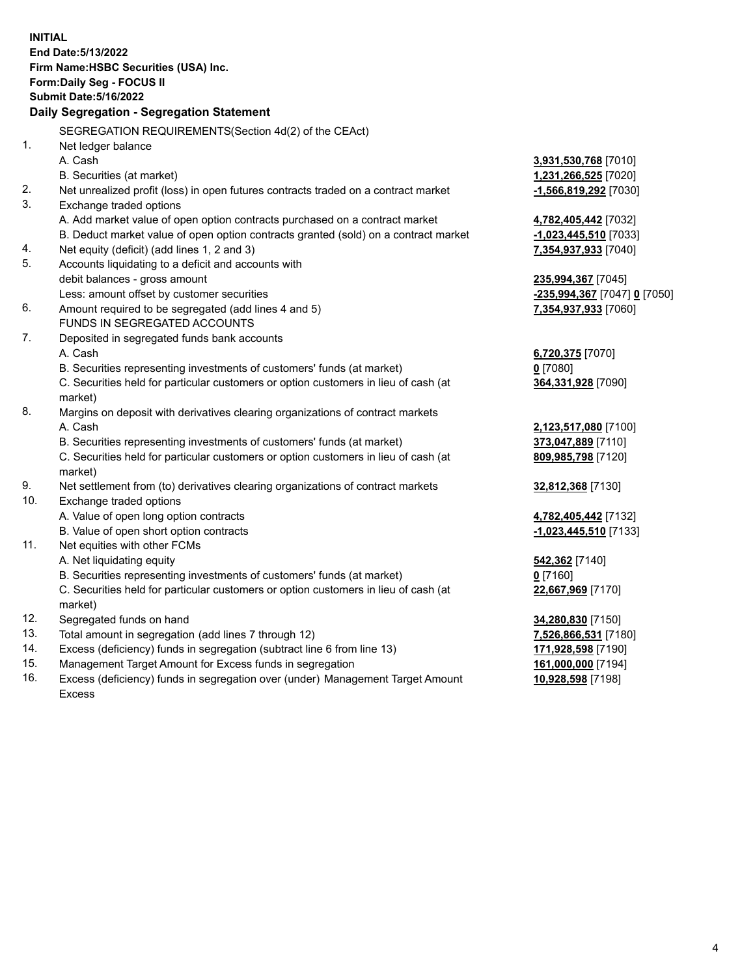**INITIAL End Date:5/13/2022 Firm Name:HSBC Securities (USA) Inc. Form:Daily Seg - FOCUS II Submit Date:5/16/2022 Daily Segregation - Segregation Statement** SEGREGATION REQUIREMENTS(Section 4d(2) of the CEAct) 1. Net ledger balance A. Cash **3,931,530,768** [7010] B. Securities (at market) **1,231,266,525** [7020] 2. Net unrealized profit (loss) in open futures contracts traded on a contract market **-1,566,819,292** [7030] 3. Exchange traded options A. Add market value of open option contracts purchased on a contract market **4,782,405,442** [7032] B. Deduct market value of open option contracts granted (sold) on a contract market **-1,023,445,510** [7033] 4. Net equity (deficit) (add lines 1, 2 and 3) **7,354,937,933** [7040] 5. Accounts liquidating to a deficit and accounts with debit balances - gross amount **235,994,367** [7045] Less: amount offset by customer securities **-235,994,367** [7047] **0** [7050] 6. Amount required to be segregated (add lines 4 and 5) **7,354,937,933** [7060] FUNDS IN SEGREGATED ACCOUNTS 7. Deposited in segregated funds bank accounts A. Cash **6,720,375** [7070] B. Securities representing investments of customers' funds (at market) **0** [7080] C. Securities held for particular customers or option customers in lieu of cash (at market) **364,331,928** [7090] 8. Margins on deposit with derivatives clearing organizations of contract markets A. Cash **2,123,517,080** [7100] B. Securities representing investments of customers' funds (at market) **373,047,889** [7110] C. Securities held for particular customers or option customers in lieu of cash (at market) **809,985,798** [7120] 9. Net settlement from (to) derivatives clearing organizations of contract markets **32,812,368** [7130] 10. Exchange traded options A. Value of open long option contracts **4,782,405,442** [7132] B. Value of open short option contracts **-1,023,445,510** [7133] 11. Net equities with other FCMs A. Net liquidating equity **542,362** [7140] B. Securities representing investments of customers' funds (at market) **0** [7160] C. Securities held for particular customers or option customers in lieu of cash (at market) **22,667,969** [7170] 12. Segregated funds on hand **34,280,830** [7150] 13. Total amount in segregation (add lines 7 through 12) **7,526,866,531** [7180] 14. Excess (deficiency) funds in segregation (subtract line 6 from line 13) **171,928,598** [7190] 15. Management Target Amount for Excess funds in segregation **161,000,000** [7194]

16. Excess (deficiency) funds in segregation over (under) Management Target Amount Excess

**10,928,598** [7198]